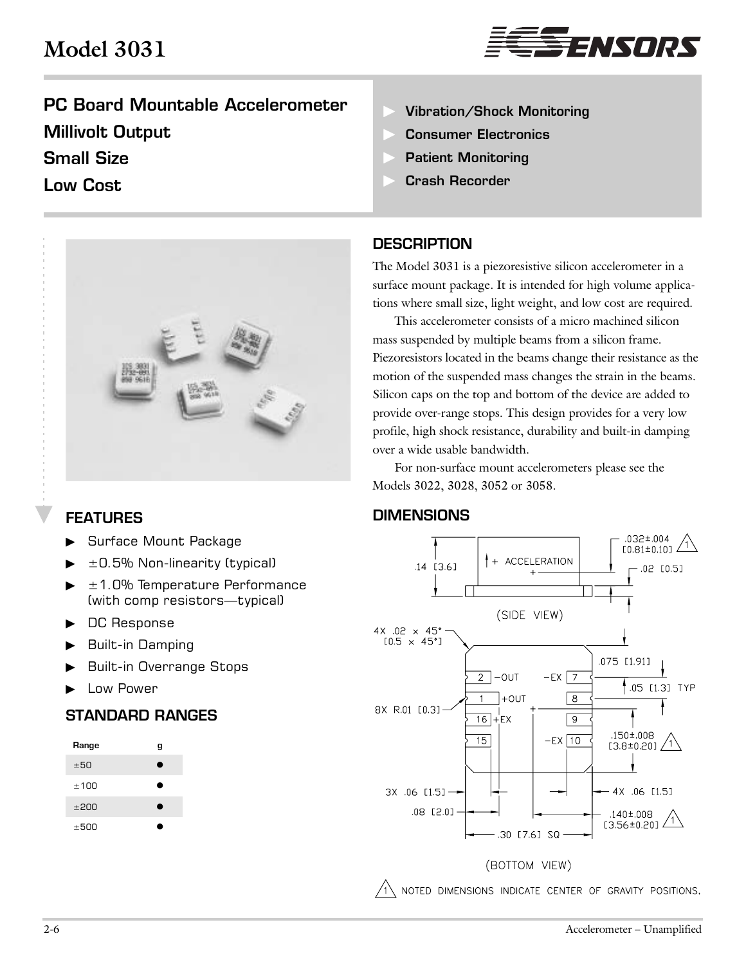# **Model 3031**



# PC Board Mountable Accelerometer Millivolt Output Small Size

## Low Cost



## FEATURES

- Surface Mount Package
- ±0.5% Non-linearity (typical)
- $\blacktriangleright$   $\pm$  1.0% Temperature Performance (with comp resistors—typical)
- DC Response
- Built-in Damping
- Built-in Overrange Stops
- Low Power

### STANDARD RANGES

| Range | g |
|-------|---|
| ±50   | ٠ |
| ±100  | ٠ |
| ±200  | ٠ |
| ±500  |   |

- Vibration/Shock Monitoring
- Consumer Electronics
- Patient Monitoring
- Crash Recorder

#### **DESCRIPTION**

The Model 3031 is a piezoresistive silicon accelerometer in a surface mount package. It is intended for high volume applications where small size, light weight, and low cost are required.

This accelerometer consists of a micro machined silicon mass suspended by multiple beams from a silicon frame. Piezoresistors located in the beams change their resistance as the motion of the suspended mass changes the strain in the beams. Silicon caps on the top and bottom of the device are added to provide over-range stops. This design provides for a very low profile, high shock resistance, durability and built-in damping over a wide usable bandwidth.

For non-surface mount accelerometers please see the Models 3022, 3028, 3052 or 3058.

### **DIMENSIONS**



 $\sqrt{1}$  noted dimensions indicate center of gravity positions.